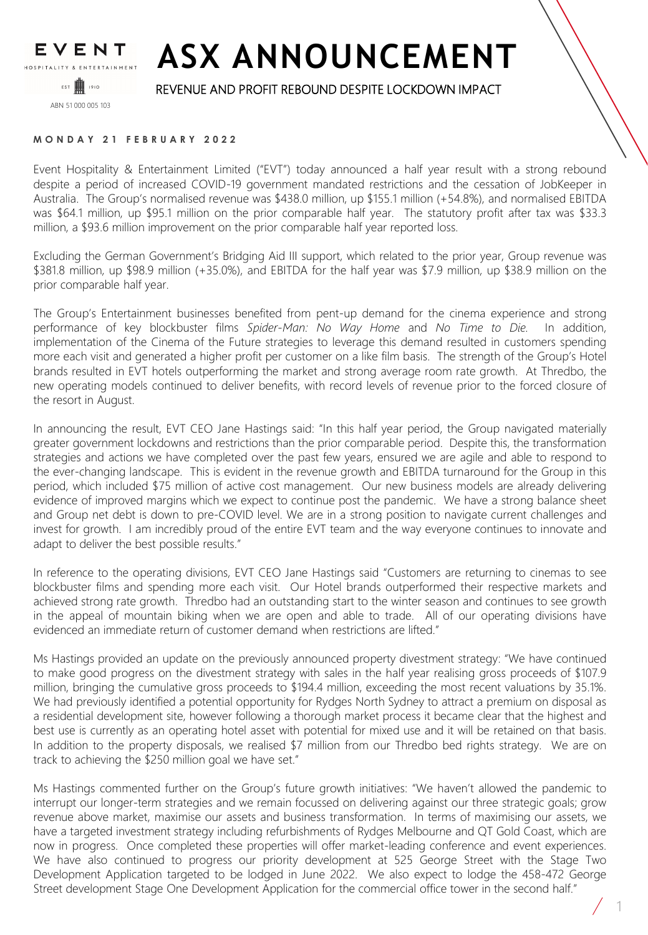

## **ASX ANNOUNCEMENT**

## REVENUE AND PROFIT REBOUND DESPITE LOCKDOWN IMPACT

**MONDAY 21 FEBRUARY 2022**

Event Hospitality & Entertainment Limited ("EVT") today announced a half year result with a strong rebound despite a period of increased COVID-19 government mandated restrictions and the cessation of JobKeeper in Australia. The Group's normalised revenue was \$438.0 million, up \$155.1 million (+54.8%), and normalised EBITDA was \$64.1 million, up \$95.1 million on the prior comparable half year. The statutory profit after tax was \$33.3 million, a \$93.6 million improvement on the prior comparable half year reported loss.

Excluding the German Government's Bridging Aid III support, which related to the prior year, Group revenue was \$381.8 million, up \$98.9 million (+35.0%), and EBITDA for the half year was \$7.9 million, up \$38.9 million on the prior comparable half year.

The Group's Entertainment businesses benefited from pent-up demand for the cinema experience and strong performance of key blockbuster films *Spider-Man: No Way Home* and *No Time to Die.* In addition, implementation of the Cinema of the Future strategies to leverage this demand resulted in customers spending more each visit and generated a higher profit per customer on a like film basis. The strength of the Group's Hotel brands resulted in EVT hotels outperforming the market and strong average room rate growth. At Thredbo, the new operating models continued to deliver benefits, with record levels of revenue prior to the forced closure of the resort in August.

In announcing the result, EVT CEO Jane Hastings said: "In this half year period, the Group navigated materially greater government lockdowns and restrictions than the prior comparable period. Despite this, the transformation strategies and actions we have completed over the past few years, ensured we are agile and able to respond to the ever-changing landscape. This is evident in the revenue growth and EBITDA turnaround for the Group in this period, which included \$75 million of active cost management. Our new business models are already delivering evidence of improved margins which we expect to continue post the pandemic. We have a strong balance sheet and Group net debt is down to pre-COVID level. We are in a strong position to navigate current challenges and invest for growth. I am incredibly proud of the entire EVT team and the way everyone continues to innovate and adapt to deliver the best possible results."

In reference to the operating divisions, EVT CEO Jane Hastings said "Customers are returning to cinemas to see blockbuster films and spending more each visit. Our Hotel brands outperformed their respective markets and achieved strong rate growth. Thredbo had an outstanding start to the winter season and continues to see growth in the appeal of mountain biking when we are open and able to trade. All of our operating divisions have evidenced an immediate return of customer demand when restrictions are lifted."

Ms Hastings provided an update on the previously announced property divestment strategy: "We have continued to make good progress on the divestment strategy with sales in the half year realising gross proceeds of \$107.9 million, bringing the cumulative gross proceeds to \$194.4 million, exceeding the most recent valuations by 35.1%. We had previously identified a potential opportunity for Rydges North Sydney to attract a premium on disposal as a residential development site, however following a thorough market process it became clear that the highest and best use is currently as an operating hotel asset with potential for mixed use and it will be retained on that basis. In addition to the property disposals, we realised \$7 million from our Thredbo bed rights strategy. We are on track to achieving the \$250 million goal we have set."

Ms Hastings commented further on the Group's future growth initiatives: "We haven't allowed the pandemic to interrupt our longer-term strategies and we remain focussed on delivering against our three strategic goals; grow revenue above market, maximise our assets and business transformation. In terms of maximising our assets, we have a targeted investment strategy including refurbishments of Rydges Melbourne and QT Gold Coast, which are now in progress. Once completed these properties will offer market-leading conference and event experiences. We have also continued to progress our priority development at 525 George Street with the Stage Two Development Application targeted to be lodged in June 2022. We also expect to lodge the 458-472 George Street development Stage One Development Application for the commercial office tower in the second half."